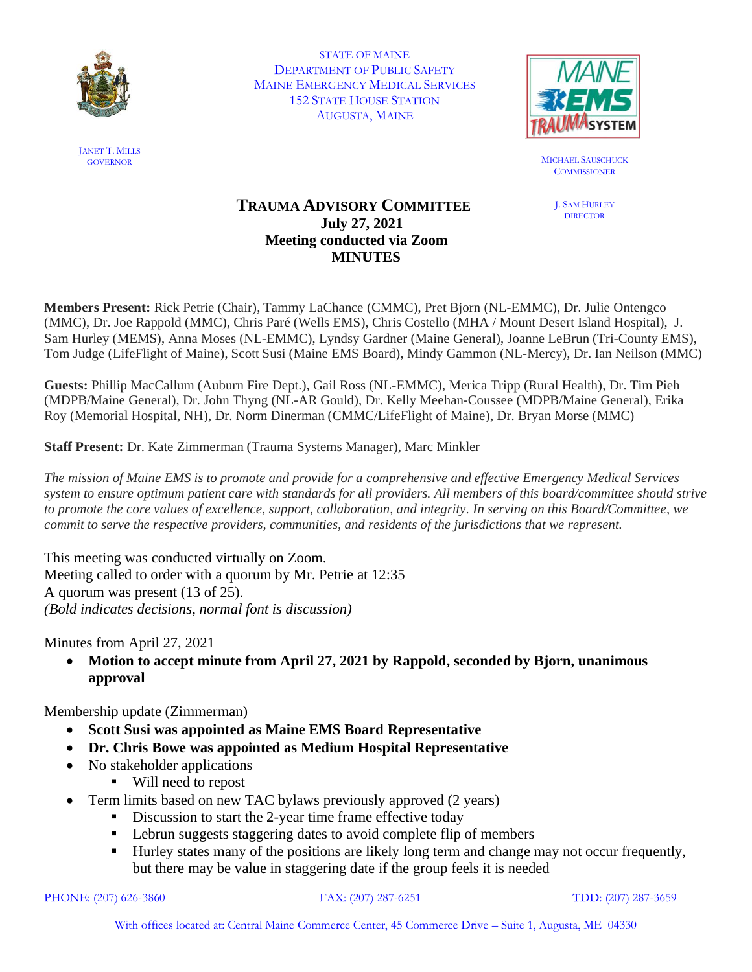

STATE OF MAINE DEPARTMENT OF PUBLIC SAFETY MAINE EMERGENCY MEDICAL SERVICES 152 STATE HOUSE STATION AUGUSTA, MAINE



GOVERNOR MICHAEL SAUSCHUCK **COMMISSIONER** 

> J. SAM HURLEY **DIRECTOR**

## **TRAUMA ADVISORY COMMITTEE July 27, 2021 Meeting conducted via Zoom MINUTES**

**Members Present:** Rick Petrie (Chair), Tammy LaChance (CMMC), Pret Bjorn (NL-EMMC), Dr. Julie Ontengco (MMC), Dr. Joe Rappold (MMC), Chris Paré (Wells EMS), Chris Costello (MHA / Mount Desert Island Hospital), J. Sam Hurley (MEMS), Anna Moses (NL-EMMC), Lyndsy Gardner (Maine General), Joanne LeBrun (Tri-County EMS), Tom Judge (LifeFlight of Maine), Scott Susi (Maine EMS Board), Mindy Gammon (NL-Mercy), Dr. Ian Neilson (MMC)

**Guests:** Phillip MacCallum (Auburn Fire Dept.), Gail Ross (NL-EMMC), Merica Tripp (Rural Health), Dr. Tim Pieh (MDPB/Maine General), Dr. John Thyng (NL-AR Gould), Dr. Kelly Meehan-Coussee (MDPB/Maine General), Erika Roy (Memorial Hospital, NH), Dr. Norm Dinerman (CMMC/LifeFlight of Maine), Dr. Bryan Morse (MMC)

**Staff Present:** Dr. Kate Zimmerman (Trauma Systems Manager), Marc Minkler

*The mission of Maine EMS is to promote and provide for a comprehensive and effective Emergency Medical Services system to ensure optimum patient care with standards for all providers. All members of this board/committee should strive to promote the core values of excellence, support, collaboration, and integrity. In serving on this Board/Committee, we commit to serve the respective providers, communities, and residents of the jurisdictions that we represent.*

This meeting was conducted virtually on Zoom. Meeting called to order with a quorum by Mr. Petrie at 12:35 A quorum was present (13 of 25). *(Bold indicates decisions, normal font is discussion)*

Minutes from April 27, 2021

• **Motion to accept minute from April 27, 2021 by Rappold, seconded by Bjorn, unanimous approval**

Membership update (Zimmerman)

- **Scott Susi was appointed as Maine EMS Board Representative**
- **Dr. Chris Bowe was appointed as Medium Hospital Representative**
- No stakeholder applications
	- Will need to repost
- Term limits based on new TAC bylaws previously approved (2 years)
	- Discussion to start the 2-year time frame effective today
	- Lebrun suggests staggering dates to avoid complete flip of members
	- Hurley states many of the positions are likely long term and change may not occur frequently, but there may be value in staggering date if the group feels it is needed

```
PHONE: (207) 626-3860 FAX: (207) 287-6251 TDD: (207) 287-3659
```
JANET T. MILLS<br>GOVERNOR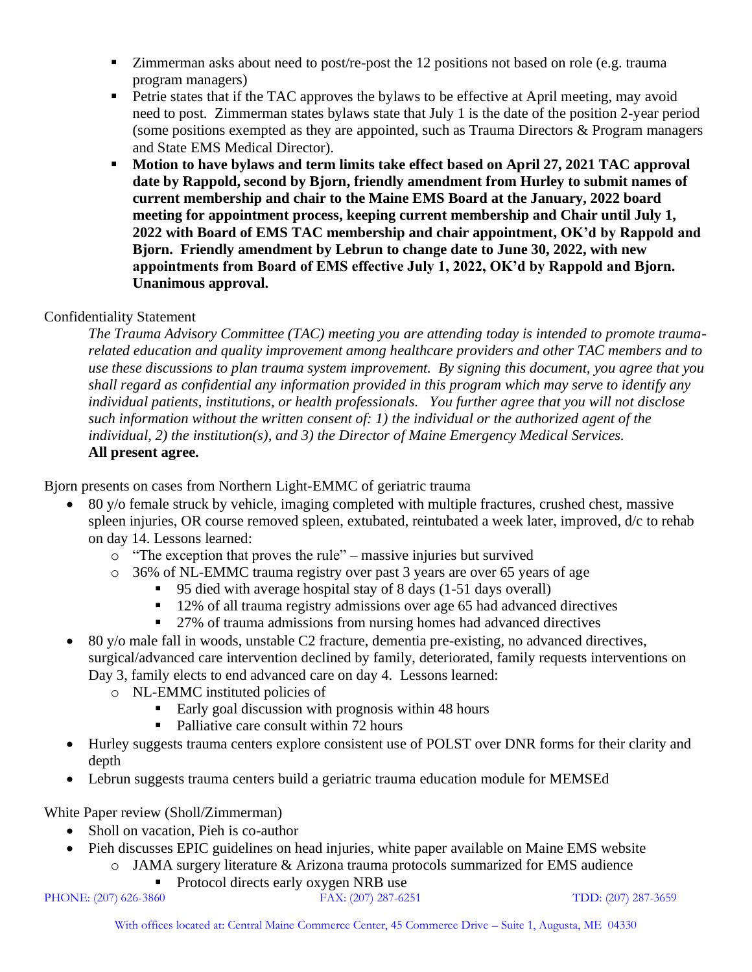- **EXECUTE:** Zimmerman asks about need to post/re-post the 12 positions not based on role (e.g. trauma program managers)
- **•** Petrie states that if the TAC approves the bylaws to be effective at April meeting, may avoid need to post. Zimmerman states bylaws state that July 1 is the date of the position 2-year period (some positions exempted as they are appointed, such as Trauma Directors & Program managers and State EMS Medical Director).
- Motion to have bylaws and term limits take effect based on April 27, 2021 TAC approval **date by Rappold, second by Bjorn, friendly amendment from Hurley to submit names of current membership and chair to the Maine EMS Board at the January, 2022 board meeting for appointment process, keeping current membership and Chair until July 1, 2022 with Board of EMS TAC membership and chair appointment, OK'd by Rappold and Bjorn. Friendly amendment by Lebrun to change date to June 30, 2022, with new appointments from Board of EMS effective July 1, 2022, OK'd by Rappold and Bjorn. Unanimous approval.**

## Confidentiality Statement

*The Trauma Advisory Committee (TAC) meeting you are attending today is intended to promote traumarelated education and quality improvement among healthcare providers and other TAC members and to use these discussions to plan trauma system improvement. By signing this document, you agree that you shall regard as confidential any information provided in this program which may serve to identify any individual patients, institutions, or health professionals. You further agree that you will not disclose such information without the written consent of: 1) the individual or the authorized agent of the individual, 2) the institution(s), and 3) the Director of Maine Emergency Medical Services.*  **All present agree.**

Bjorn presents on cases from Northern Light-EMMC of geriatric trauma

- 80 y/o female struck by vehicle, imaging completed with multiple fractures, crushed chest, massive spleen injuries, OR course removed spleen, extubated, reintubated a week later, improved, d/c to rehab on day 14. Lessons learned:
	- o "The exception that proves the rule" massive injuries but survived
	- o 36% of NL-EMMC trauma registry over past 3 years are over 65 years of age
		- 95 died with average hospital stay of 8 days (1-51 days overall)
		- 12% of all trauma registry admissions over age 65 had advanced directives
		- 27% of trauma admissions from nursing homes had advanced directives
- 80 y/o male fall in woods, unstable C2 fracture, dementia pre-existing, no advanced directives, surgical/advanced care intervention declined by family, deteriorated, family requests interventions on Day 3, family elects to end advanced care on day 4. Lessons learned:
	- o NL-EMMC instituted policies of
		- Early goal discussion with prognosis within 48 hours
		- Palliative care consult within 72 hours
- Hurley suggests trauma centers explore consistent use of POLST over DNR forms for their clarity and depth
- Lebrun suggests trauma centers build a geriatric trauma education module for MEMSEd

White Paper review (Sholl/Zimmerman)

- Sholl on vacation, Pieh is co-author
- Pieh discusses EPIC guidelines on head injuries, white paper available on Maine EMS website o JAMA surgery literature & Arizona trauma protocols summarized for EMS audience
	- Protocol directs early oxygen NRB use

PHONE: (207) 626-3860 FAX: (207) 287-6251 TDD: (207) 287-3659